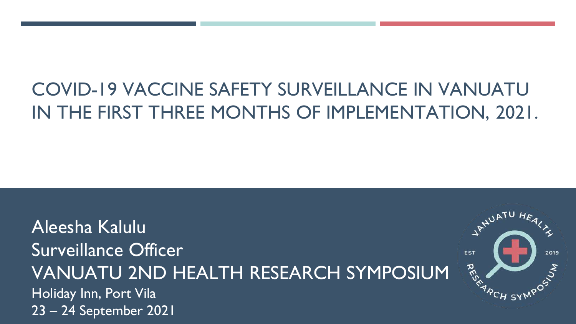# COVID-19 VACCINE SAFETY SURVEILLANCE IN VANUATU IN THE FIRST THREE MONTHS OF IMPLEMENTATION, 2021.

Aleesha Kalulu Surveillance Officer VANUATU 2ND HEALTH RESEARCH SYMPOSIUM Holiday Inn, Port Vila 23 – 24 September 2021

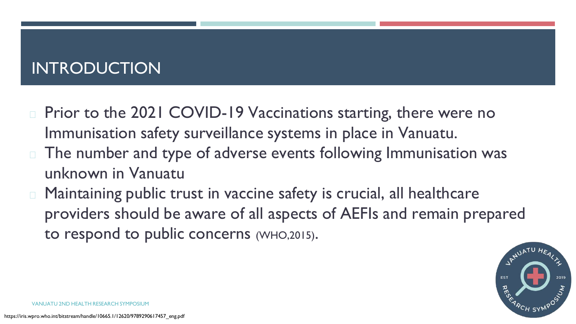# INTRODUCTION

- Prior to the 2021 COVID-19 Vaccinations starting, there were no Immunisation safety surveillance systems in place in Vanuatu.
- □ The number and type of adverse events following Immunisation was unknown in Vanuatu
- Maintaining public trust in vaccine safety is crucial, all healthcare providers should be aware of all aspects of AEFIs and remain prepared to respond to public concerns (WHO,2015).

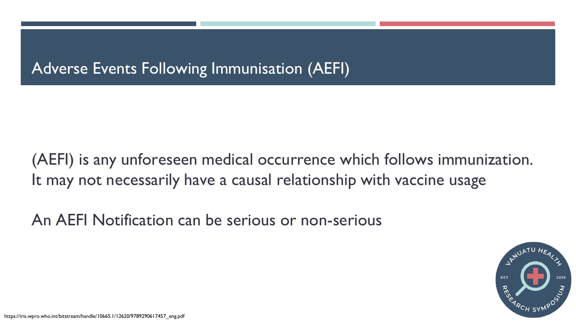## Adverse Events Following Immunisation (AEFI)

(AEFI) is any unforeseen medical occurrence which follows immunization. It may not necessarily have a causal relationship with vaccine usage

An AEFI Notification can be serious or non-serious

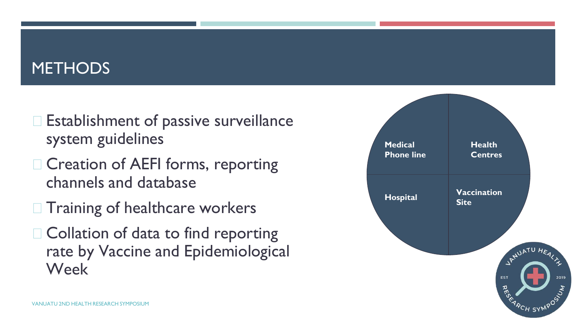## **METHODS**

- $\Box$  Establishment of passive surveillance system guidelines
- $\Box$  Creation of AEFI forms, reporting channels and database
- $\Box$  Training of healthcare workers
- $\Box$  Collation of data to find reporting rate by Vaccine and Epidemiological Week

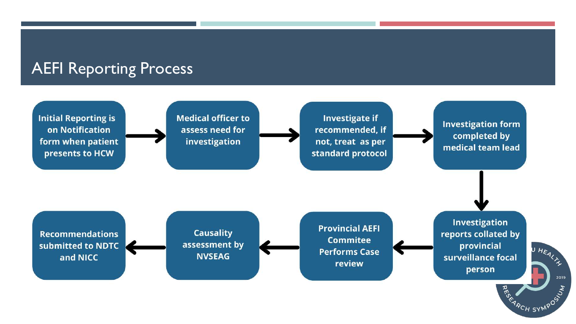### AEFI Reporting Process

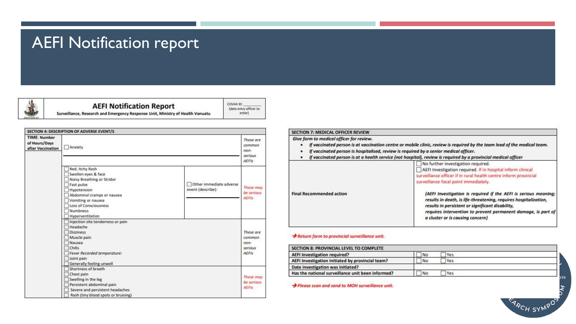### AEFI Notification report



**AEFI Notification Report** 

COVAX ID: (data entry officer to enter)

Surveillance, Research and Emergency Response Unit, Ministry of Health Vanuatu

|                                                           | SECTION 4: DESCRIPTION OF ADVERSE EVENT/S                                                                                                                                                                                                                             |                                                          |
|-----------------------------------------------------------|-----------------------------------------------------------------------------------------------------------------------------------------------------------------------------------------------------------------------------------------------------------------------|----------------------------------------------------------|
| <b>TIME: Number</b><br>of Hours/Days<br>after Vaccination | Anxiety                                                                                                                                                                                                                                                               |                                                          |
|                                                           | Red, Itchy Rash<br>Swollen eyes & face<br>Noisy Breathing or Stridor<br>Other immediate adverse<br>Fast pulse<br>event (describe):<br>Hypotension<br>Abdominal cramps or nausea<br>Vomiting or nausea<br>Loss of Consciousness<br><b>Numbness</b><br>Hyperventilation | These may<br>be serious<br><b>AEFIS</b>                  |
|                                                           | Injection site tenderness or pain<br>Headache<br><b>Dizziness</b><br>Muscle pain<br>Nausea<br>Chills<br>Fever Recorded temperature:<br>Joint pain<br>Generally feeling unwell                                                                                         | These are<br>common<br>$non-$<br>serious<br><b>AEFIS</b> |
|                                                           | Shortness of breath<br>Chest pain<br>Swelling in the leg<br>Persistent abdominal pain<br>Severe and persistent headaches<br>Rash (tiny blood spots or bruising)                                                                                                       | These may<br>be serious<br><b>AEFIS</b>                  |

### SECTION 7: MEDICAL OFFICER REVIEW

Give form to medical officer for review.

- If vaccinated person is at vaccination centre or mobile clinic, review is required by the team lead of the medical team.
- If vaccinated person is hospitalised, review is required by a senior medical officer.
- If vaccinated person is at a health service (not hospital), review is required by a provincial medical officer

|                                 | No further investigation required.<br>AEFI Investigation required. If in hospital inform clinical<br>surveillance officer if in rural health centre inform provincial<br>surveillance focal point immediately.                                                                               |  |
|---------------------------------|----------------------------------------------------------------------------------------------------------------------------------------------------------------------------------------------------------------------------------------------------------------------------------------------|--|
| <b>Final Recommended action</b> | (AEFI Investigation is required if the AEFI is serious meaning;<br>results in death, is life-threatening, requires hospitalization,<br>results in persistent or significant disability,<br>requires intervention to prevent permanent damage, is part of<br>a cluster or is causing concern) |  |

### Return form to provincial surveillance unit.

| <b>SECTION 8: PROVINCIAL LEVEL TO COMPLETE</b>    |           |  |
|---------------------------------------------------|-----------|--|
| AEFI Investigation required?                      | Yes<br>No |  |
| AEFI Investigation initiated by provincial team?  | No<br>Yes |  |
| Date investigation was initiated?                 |           |  |
| Has the national surveillance unit been informed? | Yes<br>No |  |

Please scan and send to MOH surveillance unit.

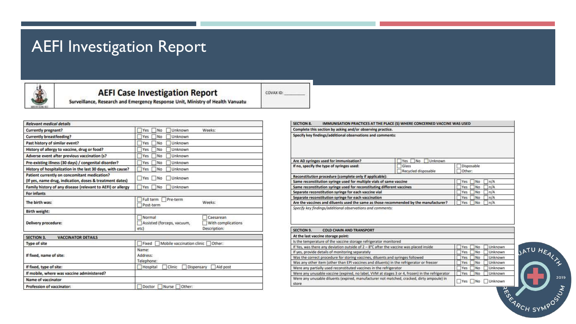## AEFI Investigation Report



### **AEFI Case Investigation Report** Surveillance, Research and Emergency Response Unit, Ministry of Health Vanuatu

COVAX ID:

| Yes<br>Unknown<br>No<br>Weeks:                                                                 |  |  |
|------------------------------------------------------------------------------------------------|--|--|
| Yes<br>No<br>Unknown                                                                           |  |  |
| No<br>Unknown<br>Yes                                                                           |  |  |
| No<br>Unknown<br>Yes                                                                           |  |  |
| Unknown<br>Yes<br>No                                                                           |  |  |
| Unknown<br>Yes<br>No                                                                           |  |  |
| No<br>Yes<br>Unknown                                                                           |  |  |
| Unknown<br><b>Yes</b><br>No                                                                    |  |  |
| Unknown<br>Yes<br>No                                                                           |  |  |
|                                                                                                |  |  |
| Full term<br>Pre-term<br>Weeks:<br>Post-term                                                   |  |  |
|                                                                                                |  |  |
| Normal<br>Caesarean<br>Assisted (forceps, vacuum,<br>With complications<br>Description:<br>etc |  |  |
|                                                                                                |  |  |
| Mobile vaccination clinic<br>Other:<br>Fixed                                                   |  |  |
| Name:<br>Address:<br>Telephone:                                                                |  |  |
| Aid post<br>Hospital<br>Clinic<br>Dispensary                                                   |  |  |
|                                                                                                |  |  |
|                                                                                                |  |  |
| Doctor<br>Nurse  <br>Other:                                                                    |  |  |
|                                                                                                |  |  |

#### **SECTION 8.** IMMUNISATION PRACTICES AT THE PLACE (S) WHERE CONCERNED VACCINE WAS USED Complete this section by asking and/or observing practice. Specify key findings/additional observations and comments: Are AD syringes used for immunisation? Yes No Unknown If no, specify the type of syringes used: Glass Disposable Recycled disposable Other: Reconstitution procedure (complete only if applicable): Same reconstitution syringe used for multiple vials of same vaccine  $\neg$ Yes  $\neg$  No  $\neg$  n/A Same reconstitution syringe used for reconstituting different vaccines  $\neg$ Yes  $\neg$  No  $\neg$  n/A  $\neg$ Yes  $\neg$  No  $\neg$  n/A Separate reconstitution syringe for each vaccine vial  $\neg$ Yes  $\neg$  No  $\neg$  n/A Separate reconstitution syringe for each vaccination  $\neg$ Yes  $\neg$  No  $\neg$  n/A Are the vaccines and diluents used the same as those recommended by the manufacturer? Specify key findings/additional observations and comments:

| SECTION 9.<br><b>COLD CHAIN AND TRANSPORT</b>                                                      |                             |
|----------------------------------------------------------------------------------------------------|-----------------------------|
| At the last vaccine storage point:                                                                 |                             |
| Is the temperature of the vaccine storage refrigerator monitored                                   |                             |
| If Yes, was there any deviation outside of 2 - 8°C after the vaccine was placed inside             | Unknown<br>No<br>Yes:       |
| If yes, provide details of monitoring separately                                                   | Unknown<br><b>No</b><br>Yes |
| Was the correct procedure for storing vaccines, diluents and syringes followed                     | Unknown<br>No<br>Yes        |
| Was any other item (other than EPI vaccines and diluents) in the refrigerator or freezer           | Unknown<br>No<br>Yes        |
| Were any partially used reconstituted vaccines in the refrigerator                                 | <b>No</b><br>Unknown<br>Yes |
| Were any unusable vaccine (expired, no label, VVM at stages 3 or 4, frozen) in the refrigerator    | Unknown<br>No<br>Yes        |
| Were any unusable diluents (expired, manufacturer not matched, cracked, dirty ampoule) in<br>store | Unknown<br>Yes              |

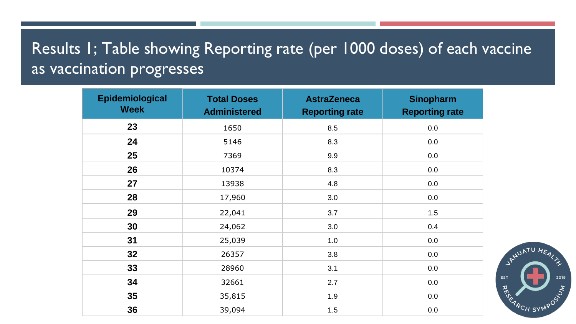# Results 1; Table showing Reporting rate (per 1000 doses) of each vaccine as vaccination progresses

| Epidemiological<br><b>Week</b> | <b>Total Doses</b><br><b>Administered</b> | <b>AstraZeneca</b><br><b>Reporting rate</b> | <b>Sinopharm</b><br><b>Reporting rate</b> |
|--------------------------------|-------------------------------------------|---------------------------------------------|-------------------------------------------|
| 23                             | 1650                                      | 8.5                                         | 0.0                                       |
| 24                             | 5146                                      | 8.3                                         | 0.0                                       |
| 25                             | 7369                                      | 9.9                                         | 0.0                                       |
| 26                             | 10374                                     | 8.3                                         | 0.0                                       |
| 27                             | 13938                                     | 4.8                                         | 0.0                                       |
| 28                             | 17,960                                    | 3.0                                         | 0.0                                       |
| 29                             | 22,041                                    | 3.7                                         | 1.5                                       |
| 30                             | 24,062                                    | 3.0                                         | 0.4                                       |
| 31                             | 25,039                                    | 1.0                                         | 0.0                                       |
| 32                             | 26357                                     | 3.8                                         | 0.0                                       |
| 33                             | 28960                                     | 3.1                                         | 0.0                                       |
| 34                             | 32661                                     | 2.7                                         | 0.0                                       |
| 35                             | 35,815                                    | 1.9                                         | 0.0                                       |
| 36                             | 39,094                                    | 1.5                                         | 0.0                                       |

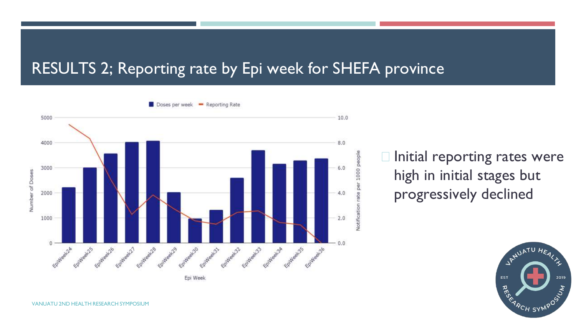### RESULTS 2; Reporting rate by Epi week for SHEFA province



 $\Box$  Initial reporting rates were high in initial stages but progressively declined

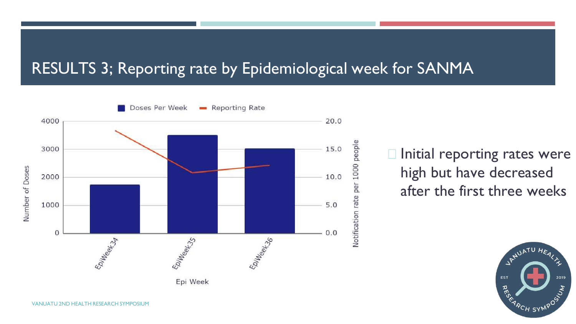### RESULTS 3; Reporting rate by Epidemiological week for SANMA



 $\Box$  Initial reporting rates were high but have decreased after the first three weeks



VANUATU 2ND HEALTH RESEARCH SYMPOSIUM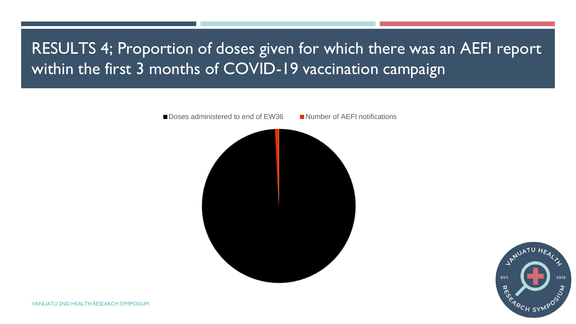# RESULTS 4; Proportion of doses given for which there was an AEFI report within the first 3 months of COVID-19 vaccination campaign



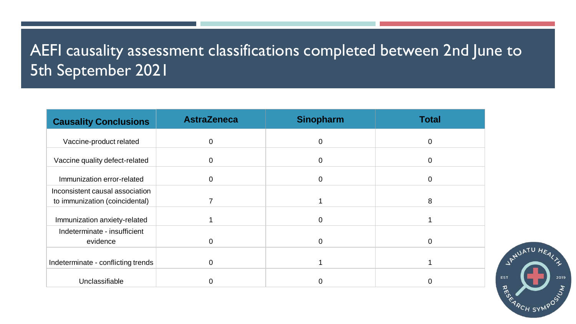# AEFI causality assessment classifications completed between 2nd June to 5th September 2021

| <b>Causality Conclusions</b>                                      | <b>AstraZeneca</b> | <b>Sinopharm</b> | <b>Total</b> |
|-------------------------------------------------------------------|--------------------|------------------|--------------|
| Vaccine-product related                                           | 0                  | $\mathbf 0$      | 0            |
| Vaccine quality defect-related                                    | 0                  | $\mathbf 0$      | 0            |
| Immunization error-related                                        | 0                  | $\mathbf 0$      | 0            |
| Inconsistent causal association<br>to immunization (coincidental) |                    |                  | 8            |
| Immunization anxiety-related                                      |                    | $\mathbf 0$      |              |
| Indeterminate - insufficient<br>evidence                          | 0                  | $\mathbf 0$      |              |
| Indeterminate - conflicting trends                                | 0                  |                  |              |
| Unclassifiable                                                    |                    |                  |              |

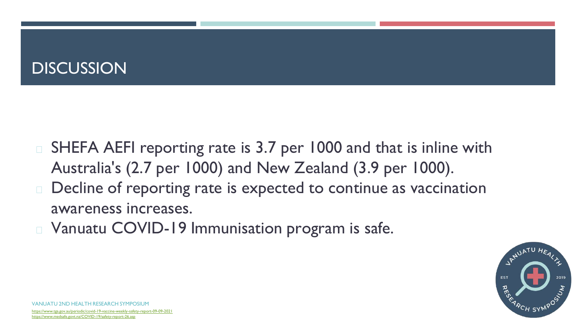# **DISCUSSION**

- SHEFA AEFI reporting rate is 3.7 per 1000 and that is inline with Australia's (2.7 per 1000) and New Zealand (3.9 per 1000).
- □ Decline of reporting rate is expected to continue as vaccination awareness increases.
- Vanuatu COVID-19 Immunisation program is safe.



VANUATU 2ND HEALTH RESEARCH SYMPOSIUM <https://www.tga.gov.au/periodic/covid-19-vaccine-weekly-safety-report-09-09-2021> <https://www.medsafe.govt.nz/COVID-19/safety-report-26.asp>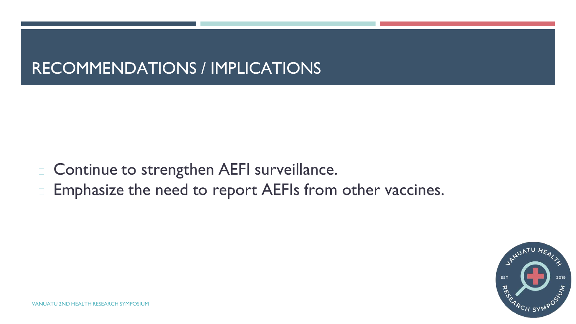# RECOMMENDATIONS / IMPLICATIONS

- Continue to strengthen AEFI surveillance.
- □ Emphasize the need to report AEFIs from other vaccines.